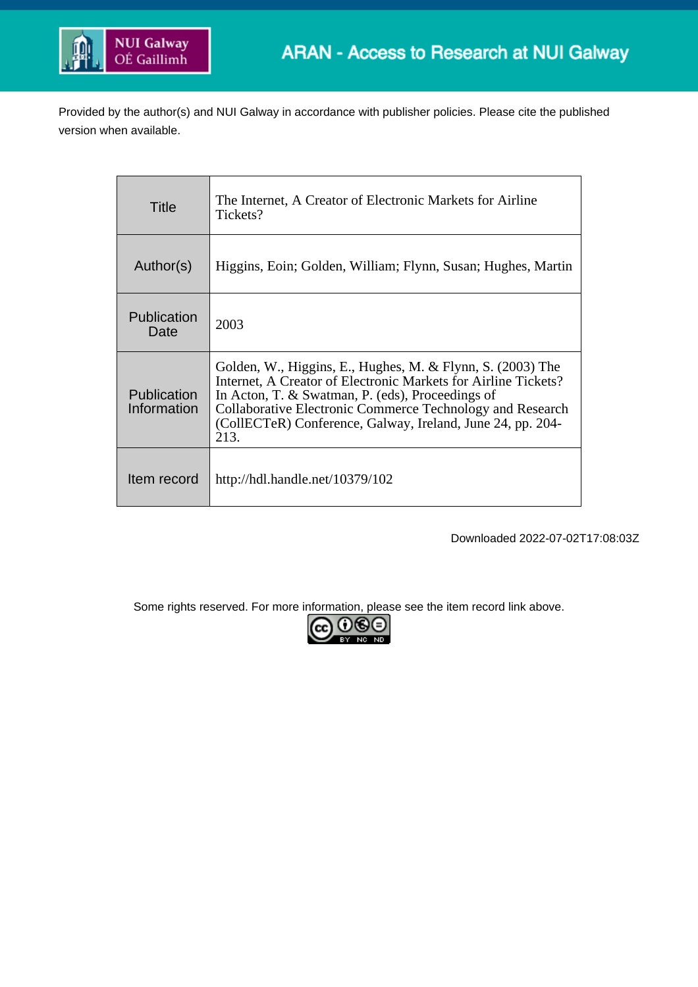

Provided by the author(s) and NUI Galway in accordance with publisher policies. Please cite the published version when available.

| Title                      | The Internet, A Creator of Electronic Markets for Airline<br>Tickets?                                                                                                                                                                                                                                               |  |  |
|----------------------------|---------------------------------------------------------------------------------------------------------------------------------------------------------------------------------------------------------------------------------------------------------------------------------------------------------------------|--|--|
| Author(s)                  | Higgins, Eoin; Golden, William; Flynn, Susan; Hughes, Martin                                                                                                                                                                                                                                                        |  |  |
| Publication<br>Date        | 2003                                                                                                                                                                                                                                                                                                                |  |  |
| Publication<br>Information | Golden, W., Higgins, E., Hughes, M. & Flynn, S. (2003) The<br>Internet, A Creator of Electronic Markets for Airline Tickets?<br>In Acton, T. & Swatman, P. (eds), Proceedings of<br>Collaborative Electronic Commerce Technology and Research<br>(CollECTeR) Conference, Galway, Ireland, June 24, pp. 204-<br>213. |  |  |
| Item record                | http://hdl.handle.net/10379/102                                                                                                                                                                                                                                                                                     |  |  |

Downloaded 2022-07-02T17:08:03Z

Some rights reserved. For more information, please see the item record link above.<br>  $\boxed{\mathbf{cc}} \ \overline{\mathbf{C}}$ 

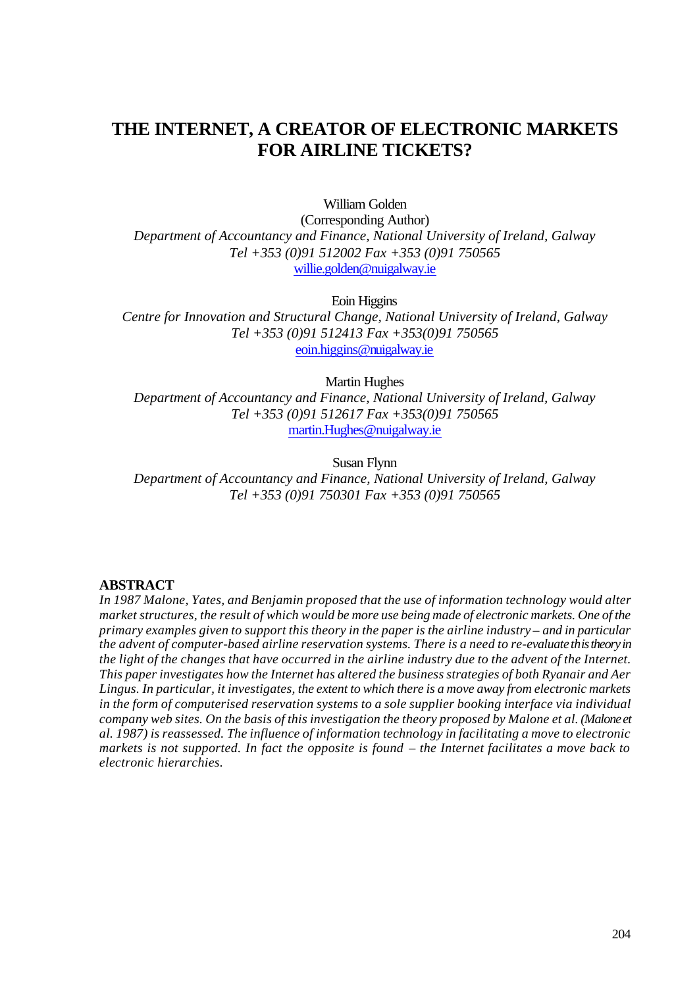# **THE INTERNET, A CREATOR OF ELECTRONIC MARKETS FOR AIRLINE TICKETS?**

William Golden

(Corresponding Author) *Department of Accountancy and Finance, National University of Ireland, Galway Tel +353 (0)91 512002 Fax +353 (0)91 750565* willie.golden@nuigalway.ie

Eoin Higgins

*Centre for Innovation and Structural Change, National University of Ireland, Galway Tel +353 (0)91 512413 Fax +353(0)91 750565* eoin.higgins@nuigalway.ie

Martin Hughes

*Department of Accountancy and Finance, National University of Ireland, Galway Tel +353 (0)91 512617 Fax +353(0)91 750565* martin.Hughes@nuigalway.ie

Susan Flynn

*Department of Accountancy and Finance, National University of Ireland, Galway Tel +353 (0)91 750301 Fax +353 (0)91 750565*

#### **ABSTRACT**

*In 1987 Malone, Yates, and Benjamin proposed that the use of information technology would alter market structures, the result of which would be more use being made of electronic markets. One of the primary examples given to support this theory in the paper is the airline industry – and in particular the advent of computer-based airline reservation systems. There is a need to re-evaluate this theory in the light of the changes that have occurred in the airline industry due to the advent of the Internet. This paper investigates how the Internet has altered the business strategies of both Ryanair and Aer Lingus. In particular, it investigates, the extent to which there is a move away from electronic markets in the form of computerised reservation systems to a sole supplier booking interface via individual company web sites. On the basis of this investigation the theory proposed by Malone et al. (Malone et al. 1987) is reassessed. The influence of information technology in facilitating a move to electronic markets is not supported. In fact the opposite is found – the Internet facilitates a move back to electronic hierarchies.*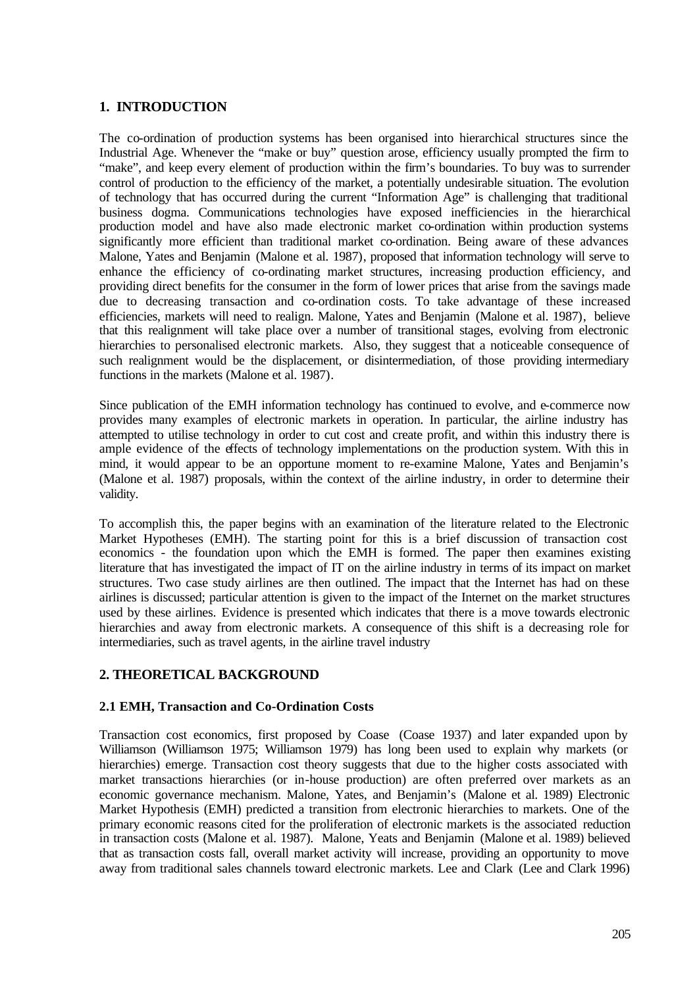#### **1. INTRODUCTION**

The co-ordination of production systems has been organised into hierarchical structures since the Industrial Age. Whenever the "make or buy" question arose, efficiency usually prompted the firm to "make", and keep every element of production within the firm's boundaries. To buy was to surrender control of production to the efficiency of the market, a potentially undesirable situation. The evolution of technology that has occurred during the current "Information Age" is challenging that traditional business dogma. Communications technologies have exposed inefficiencies in the hierarchical production model and have also made electronic market co-ordination within production systems significantly more efficient than traditional market co-ordination. Being aware of these advances Malone, Yates and Benjamin (Malone et al. 1987), proposed that information technology will serve to enhance the efficiency of co-ordinating market structures, increasing production efficiency, and providing direct benefits for the consumer in the form of lower prices that arise from the savings made due to decreasing transaction and co-ordination costs. To take advantage of these increased efficiencies, markets will need to realign. Malone, Yates and Benjamin (Malone et al. 1987), believe that this realignment will take place over a number of transitional stages, evolving from electronic hierarchies to personalised electronic markets. Also, they suggest that a noticeable consequence of such realignment would be the displacement, or disintermediation, of those providing intermediary functions in the markets (Malone et al. 1987).

Since publication of the EMH information technology has continued to evolve, and e-commerce now provides many examples of electronic markets in operation. In particular, the airline industry has attempted to utilise technology in order to cut cost and create profit, and within this industry there is ample evidence of the effects of technology implementations on the production system. With this in mind, it would appear to be an opportune moment to re-examine Malone, Yates and Benjamin's (Malone et al. 1987) proposals, within the context of the airline industry, in order to determine their validity.

To accomplish this, the paper begins with an examination of the literature related to the Electronic Market Hypotheses (EMH). The starting point for this is a brief discussion of transaction cost economics - the foundation upon which the EMH is formed. The paper then examines existing literature that has investigated the impact of IT on the airline industry in terms of its impact on market structures. Two case study airlines are then outlined. The impact that the Internet has had on these airlines is discussed; particular attention is given to the impact of the Internet on the market structures used by these airlines. Evidence is presented which indicates that there is a move towards electronic hierarchies and away from electronic markets. A consequence of this shift is a decreasing role for intermediaries, such as travel agents, in the airline travel industry

## **2. THEORETICAL BACKGROUND**

#### **2.1 EMH, Transaction and Co-Ordination Costs**

Transaction cost economics, first proposed by Coase (Coase 1937) and later expanded upon by Williamson (Williamson 1975; Williamson 1979) has long been used to explain why markets (or hierarchies) emerge. Transaction cost theory suggests that due to the higher costs associated with market transactions hierarchies (or in-house production) are often preferred over markets as an economic governance mechanism. Malone, Yates, and Benjamin's (Malone et al. 1989) Electronic Market Hypothesis (EMH) predicted a transition from electronic hierarchies to markets. One of the primary economic reasons cited for the proliferation of electronic markets is the associated reduction in transaction costs (Malone et al. 1987). Malone, Yeats and Benjamin (Malone et al. 1989) believed that as transaction costs fall, overall market activity will increase, providing an opportunity to move away from traditional sales channels toward electronic markets. Lee and Clark (Lee and Clark 1996)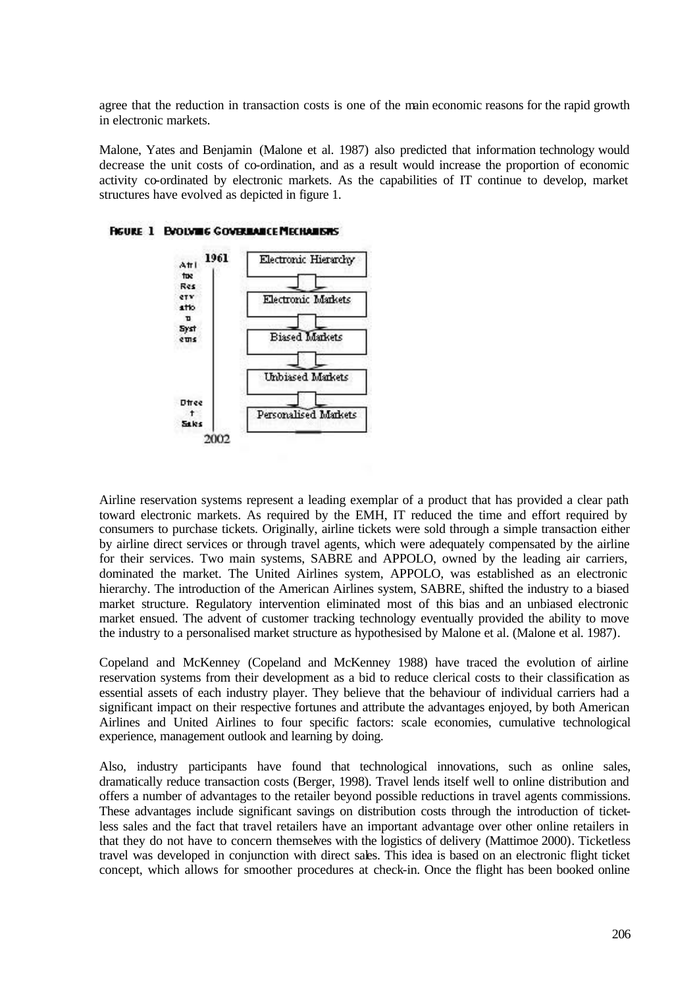agree that the reduction in transaction costs is one of the main economic reasons for the rapid growth in electronic markets.

Malone, Yates and Benjamin (Malone et al. 1987) also predicted that information technology would decrease the unit costs of co-ordination, and as a result would increase the proportion of economic activity co-ordinated by electronic markets. As the capabilities of IT continue to develop, market structures have evolved as depicted in figure 1.



**FIGURE 1 EVOLVING COVERINATE MECHANISMS** 

Airline reservation systems represent a leading exemplar of a product that has provided a clear path toward electronic markets. As required by the EMH, IT reduced the time and effort required by consumers to purchase tickets. Originally, airline tickets were sold through a simple transaction either by airline direct services or through travel agents, which were adequately compensated by the airline for their services. Two main systems, SABRE and APPOLO, owned by the leading air carriers, dominated the market. The United Airlines system, APPOLO, was established as an electronic hierarchy. The introduction of the American Airlines system, SABRE, shifted the industry to a biased market structure. Regulatory intervention eliminated most of this bias and an unbiased electronic market ensued. The advent of customer tracking technology eventually provided the ability to move the industry to a personalised market structure as hypothesised by Malone et al. (Malone et al. 1987).

Copeland and McKenney (Copeland and McKenney 1988) have traced the evolution of airline reservation systems from their development as a bid to reduce clerical costs to their classification as essential assets of each industry player. They believe that the behaviour of individual carriers had a significant impact on their respective fortunes and attribute the advantages enjoyed, by both American Airlines and United Airlines to four specific factors: scale economies, cumulative technological experience, management outlook and learning by doing.

Also, industry participants have found that technological innovations, such as online sales, dramatically reduce transaction costs (Berger, 1998). Travel lends itself well to online distribution and offers a number of advantages to the retailer beyond possible reductions in travel agents commissions. These advantages include significant savings on distribution costs through the introduction of ticketless sales and the fact that travel retailers have an important advantage over other online retailers in that they do not have to concern themselves with the logistics of delivery (Mattimoe 2000). Ticketless travel was developed in conjunction with direct sales. This idea is based on an electronic flight ticket concept, which allows for smoother procedures at check-in. Once the flight has been booked online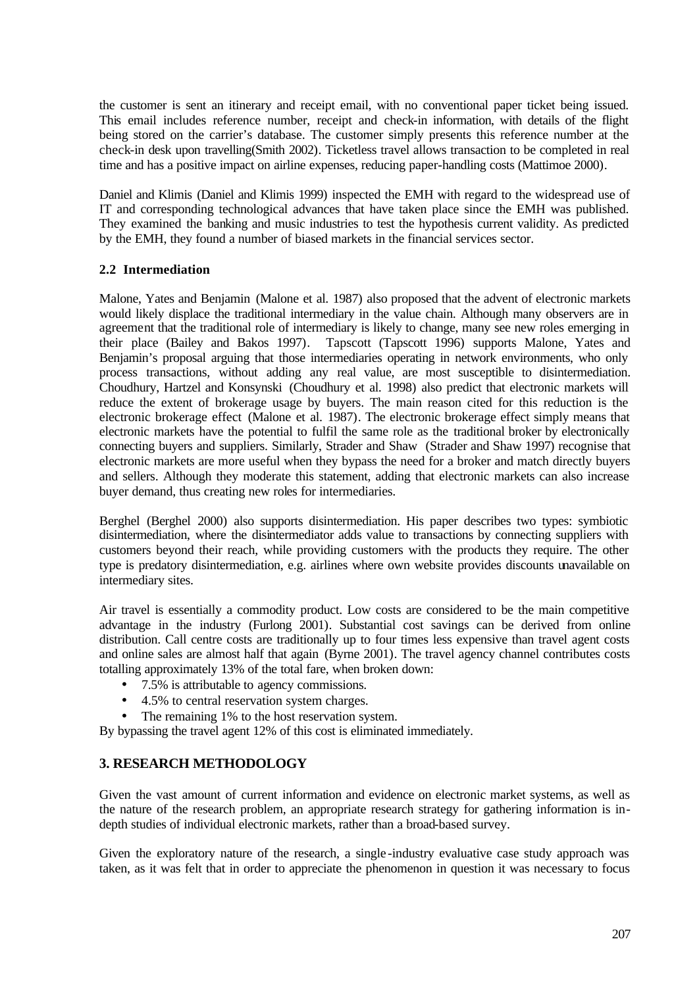the customer is sent an itinerary and receipt email, with no conventional paper ticket being issued. This email includes reference number, receipt and check-in information, with details of the flight being stored on the carrier's database. The customer simply presents this reference number at the check-in desk upon travelling(Smith 2002). Ticketless travel allows transaction to be completed in real time and has a positive impact on airline expenses, reducing paper-handling costs (Mattimoe 2000).

Daniel and Klimis (Daniel and Klimis 1999) inspected the EMH with regard to the widespread use of IT and corresponding technological advances that have taken place since the EMH was published. They examined the banking and music industries to test the hypothesis current validity. As predicted by the EMH, they found a number of biased markets in the financial services sector.

#### **2.2 Intermediation**

Malone, Yates and Benjamin (Malone et al. 1987) also proposed that the advent of electronic markets would likely displace the traditional intermediary in the value chain. Although many observers are in agreement that the traditional role of intermediary is likely to change, many see new roles emerging in their place (Bailey and Bakos 1997). Tapscott (Tapscott 1996) supports Malone, Yates and Benjamin's proposal arguing that those intermediaries operating in network environments, who only process transactions, without adding any real value, are most susceptible to disintermediation. Choudhury, Hartzel and Konsynski (Choudhury et al. 1998) also predict that electronic markets will reduce the extent of brokerage usage by buyers. The main reason cited for this reduction is the electronic brokerage effect (Malone et al. 1987). The electronic brokerage effect simply means that electronic markets have the potential to fulfil the same role as the traditional broker by electronically connecting buyers and suppliers. Similarly, Strader and Shaw (Strader and Shaw 1997) recognise that electronic markets are more useful when they bypass the need for a broker and match directly buyers and sellers. Although they moderate this statement, adding that electronic markets can also increase buyer demand, thus creating new roles for intermediaries.

Berghel (Berghel 2000) also supports disintermediation. His paper describes two types: symbiotic disintermediation, where the disintermediator adds value to transactions by connecting suppliers with customers beyond their reach, while providing customers with the products they require. The other type is predatory disintermediation, e.g. airlines where own website provides discounts unavailable on intermediary sites.

Air travel is essentially a commodity product. Low costs are considered to be the main competitive advantage in the industry (Furlong 2001). Substantial cost savings can be derived from online distribution. Call centre costs are traditionally up to four times less expensive than travel agent costs and online sales are almost half that again (Byrne 2001). The travel agency channel contributes costs totalling approximately 13% of the total fare, when broken down:

- 7.5% is attributable to agency commissions.
- 4.5% to central reservation system charges.
- The remaining 1% to the host reservation system.

By bypassing the travel agent 12% of this cost is eliminated immediately.

## **3. RESEARCH METHODOLOGY**

Given the vast amount of current information and evidence on electronic market systems, as well as the nature of the research problem, an appropriate research strategy for gathering information is indepth studies of individual electronic markets, rather than a broad-based survey.

Given the exploratory nature of the research, a single -industry evaluative case study approach was taken, as it was felt that in order to appreciate the phenomenon in question it was necessary to focus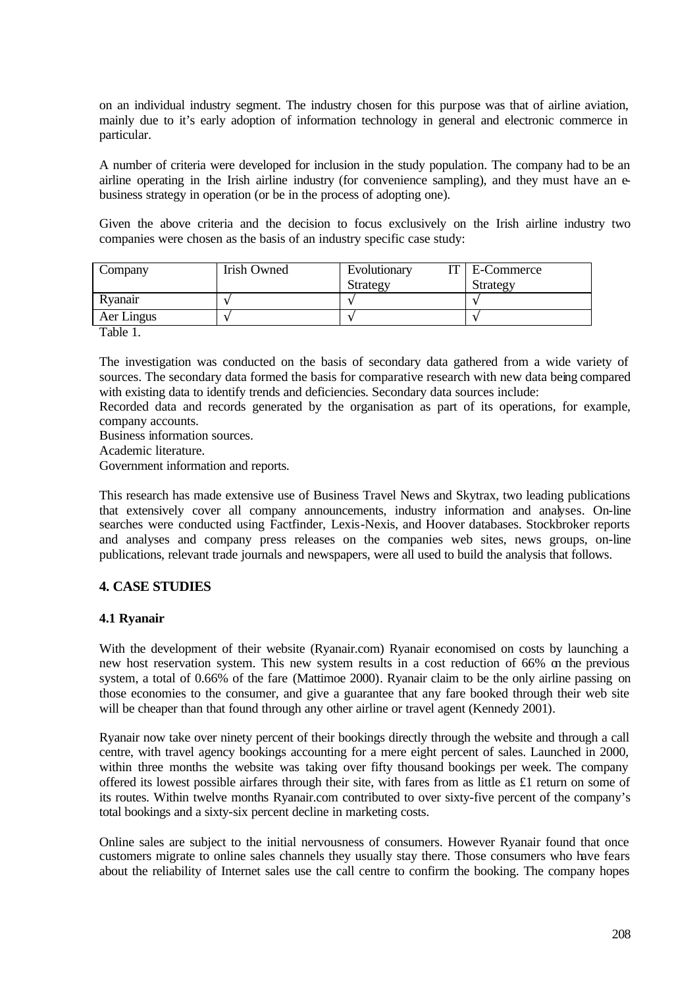on an individual industry segment. The industry chosen for this purpose was that of airline aviation, mainly due to it's early adoption of information technology in general and electronic commerce in particular.

A number of criteria were developed for inclusion in the study population. The company had to be an airline operating in the Irish airline industry (for convenience sampling), and they must have an ebusiness strategy in operation (or be in the process of adopting one).

Given the above criteria and the decision to focus exclusively on the Irish airline industry two companies were chosen as the basis of an industry specific case study:

| Company       | <b>Irish Owned</b> | IT  <br>Evolutionary<br>Strategy | E-Commerce<br>Strategy |  |
|---------------|--------------------|----------------------------------|------------------------|--|
| Ryanair       |                    |                                  |                        |  |
| Aer Lingus    |                    |                                  |                        |  |
| <b>m</b> 11 1 |                    |                                  |                        |  |

Table 1.

The investigation was conducted on the basis of secondary data gathered from a wide variety of sources. The secondary data formed the basis for comparative research with new data being compared with existing data to identify trends and deficiencies. Secondary data sources include:

Recorded data and records generated by the organisation as part of its operations, for example, company accounts.

Business information sources.

Academic literature.

Government information and reports.

This research has made extensive use of Business Travel News and Skytrax, two leading publications that extensively cover all company announcements, industry information and analyses. On-line searches were conducted using Factfinder, Lexis-Nexis, and Hoover databases. Stockbroker reports and analyses and company press releases on the companies web sites, news groups, on-line publications, relevant trade journals and newspapers, were all used to build the analysis that follows.

#### **4. CASE STUDIES**

#### **4.1 Ryanair**

With the development of their website (Ryanair.com) Ryanair economised on costs by launching a new host reservation system. This new system results in a cost reduction of 66% on the previous system, a total of 0.66% of the fare (Mattimoe 2000). Ryanair claim to be the only airline passing on those economies to the consumer, and give a guarantee that any fare booked through their web site will be cheaper than that found through any other airline or travel agent (Kennedy 2001).

Ryanair now take over ninety percent of their bookings directly through the website and through a call centre, with travel agency bookings accounting for a mere eight percent of sales. Launched in 2000, within three months the website was taking over fifty thousand bookings per week. The company offered its lowest possible airfares through their site, with fares from as little as £1 return on some of its routes. Within twelve months Ryanair.com contributed to over sixty-five percent of the company's total bookings and a sixty-six percent decline in marketing costs.

Online sales are subject to the initial nervousness of consumers. However Ryanair found that once customers migrate to online sales channels they usually stay there. Those consumers who have fears about the reliability of Internet sales use the call centre to confirm the booking. The company hopes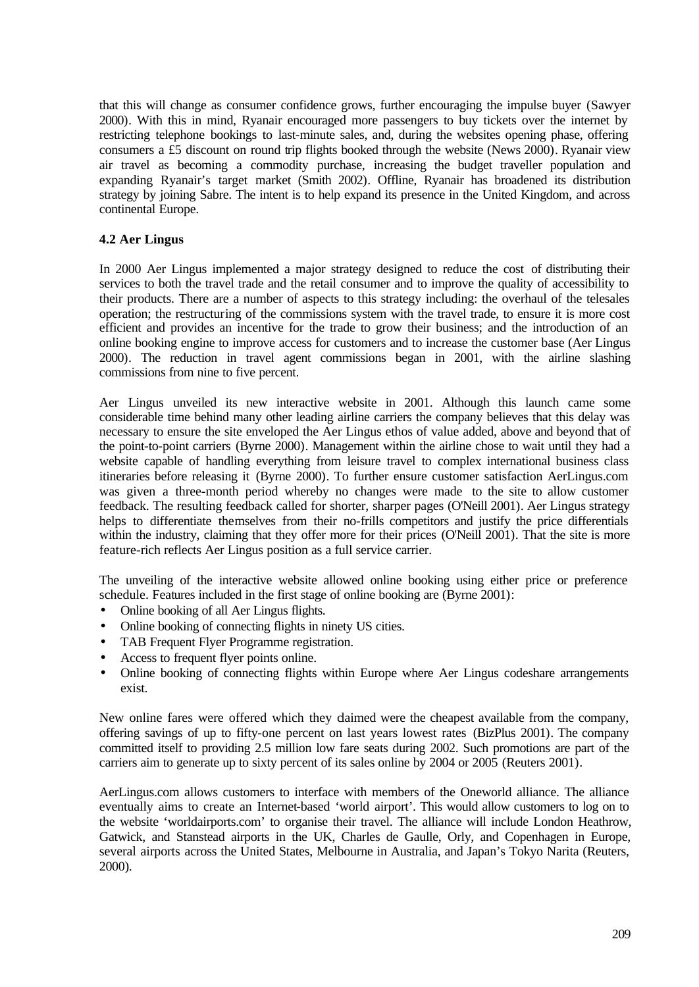that this will change as consumer confidence grows, further encouraging the impulse buyer (Sawyer 2000). With this in mind, Ryanair encouraged more passengers to buy tickets over the internet by restricting telephone bookings to last-minute sales, and, during the websites opening phase, offering consumers a £5 discount on round trip flights booked through the website (News 2000). Ryanair view air travel as becoming a commodity purchase, increasing the budget traveller population and expanding Ryanair's target market (Smith 2002). Offline, Ryanair has broadened its distribution strategy by joining Sabre. The intent is to help expand its presence in the United Kingdom, and across continental Europe.

#### **4.2 Aer Lingus**

In 2000 Aer Lingus implemented a major strategy designed to reduce the cost of distributing their services to both the travel trade and the retail consumer and to improve the quality of accessibility to their products. There are a number of aspects to this strategy including: the overhaul of the telesales operation; the restructuring of the commissions system with the travel trade, to ensure it is more cost efficient and provides an incentive for the trade to grow their business; and the introduction of an online booking engine to improve access for customers and to increase the customer base (Aer Lingus 2000). The reduction in travel agent commissions began in 2001, with the airline slashing commissions from nine to five percent.

Aer Lingus unveiled its new interactive website in 2001. Although this launch came some considerable time behind many other leading airline carriers the company believes that this delay was necessary to ensure the site enveloped the Aer Lingus ethos of value added, above and beyond that of the point-to-point carriers (Byrne 2000). Management within the airline chose to wait until they had a website capable of handling everything from leisure travel to complex international business class itineraries before releasing it (Byrne 2000). To further ensure customer satisfaction AerLingus.com was given a three-month period whereby no changes were made to the site to allow customer feedback. The resulting feedback called for shorter, sharper pages (O'Neill 2001). Aer Lingus strategy helps to differentiate themselves from their no-frills competitors and justify the price differentials within the industry, claiming that they offer more for their prices (O'Neill 2001). That the site is more feature-rich reflects Aer Lingus position as a full service carrier.

The unveiling of the interactive website allowed online booking using either price or preference schedule. Features included in the first stage of online booking are (Byrne 2001):

- Online booking of all Aer Lingus flights.
- Online booking of connecting flights in ninety US cities.
- TAB Frequent Flyer Programme registration.
- Access to frequent flyer points online.
- Online booking of connecting flights within Europe where Aer Lingus codeshare arrangements exist.

New online fares were offered which they daimed were the cheapest available from the company, offering savings of up to fifty-one percent on last years lowest rates (BizPlus 2001). The company committed itself to providing 2.5 million low fare seats during 2002. Such promotions are part of the carriers aim to generate up to sixty percent of its sales online by 2004 or 2005 (Reuters 2001).

AerLingus.com allows customers to interface with members of the Oneworld alliance. The alliance eventually aims to create an Internet-based 'world airport'. This would allow customers to log on to the website 'worldairports.com' to organise their travel. The alliance will include London Heathrow, Gatwick, and Stanstead airports in the UK, Charles de Gaulle, Orly, and Copenhagen in Europe, several airports across the United States, Melbourne in Australia, and Japan's Tokyo Narita (Reuters, 2000).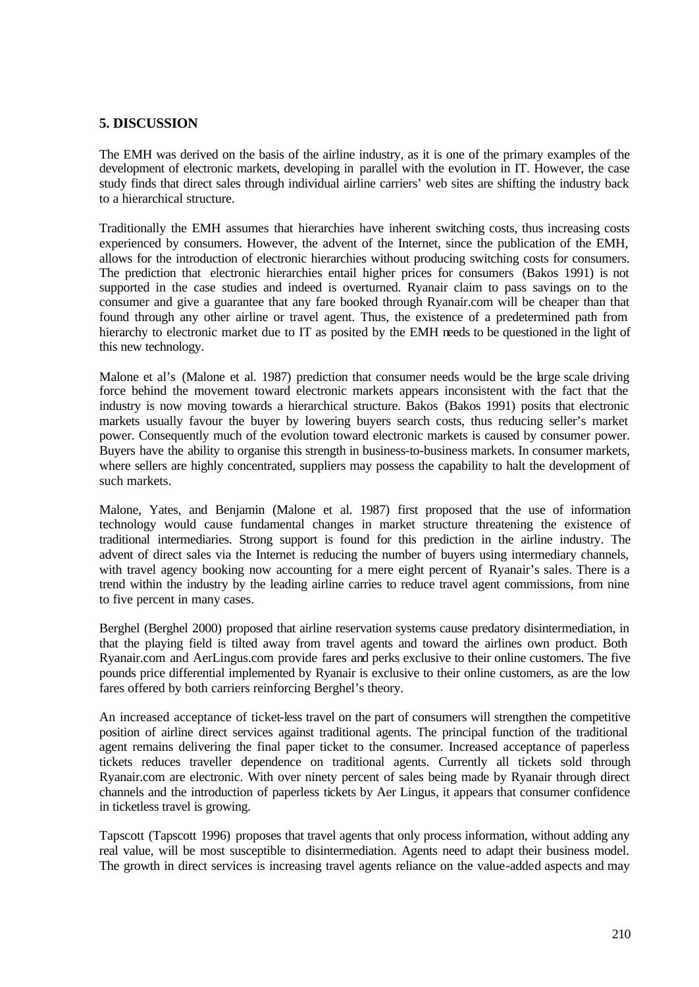### **5. DISCUSSION**

The EMH was derived on the basis of the airline industry, as it is one of the primary examples of the development of electronic markets, developing in parallel with the evolution in IT. However, the case study finds that direct sales through individual airline carriers' web sites are shifting the industry back to a hierarchical structure.

Traditionally the EMH assumes that hierarchies have inherent switching costs, thus increasing costs experienced by consumers. However, the advent of the Internet, since the publication of the EMH, allows for the introduction of electronic hierarchies without producing switching costs for consumers. The prediction that electronic hierarchies entail higher prices for consumers (Bakos 1991) is not supported in the case studies and indeed is overturned. Ryanair claim to pass savings on to the consumer and give a guarantee that any fare booked through Ryanair.com will be cheaper than that found through any other airline or travel agent. Thus, the existence of a predetermined path from hierarchy to electronic market due to IT as posited by the EMH needs to be questioned in the light of this new technology.

Malone et al's (Malone et al. 1987) prediction that consumer needs would be the large scale driving force behind the movement toward electronic markets appears inconsistent with the fact that the industry is now moving towards a hierarchical structure. Bakos (Bakos 1991) posits that electronic markets usually favour the buyer by lowering buyers search costs, thus reducing seller's market power. Consequently much of the evolution toward electronic markets is caused by consumer power. Buyers have the ability to organise this strength in business-to-business markets. In consumer markets, where sellers are highly concentrated, suppliers may possess the capability to halt the development of such markets.

Malone, Yates, and Benjamin (Malone et al. 1987) first proposed that the use of information technology would cause fundamental changes in market structure threatening the existence of traditional intermediaries. Strong support is found for this prediction in the airline industry. The advent of direct sales via the Internet is reducing the number of buyers using intermediary channels, with travel agency booking now accounting for a mere eight percent of Ryanair's sales. There is a trend within the industry by the leading airline carries to reduce travel agent commissions, from nine to five percent in many cases.

Berghel (Berghel 2000) proposed that airline reservation systems cause predatory disintermediation, in that the playing field is tilted away from travel agents and toward the airlines own product. Both Ryanair.com and AerLingus.com provide fares and perks exclusive to their online customers. The five pounds price differential implemented by Ryanair is exclusive to their online customers, as are the low fares offered by both carriers reinforcing Berghel's theory.

An increased acceptance of ticket-less travel on the part of consumers will strengthen the competitive position of airline direct services against traditional agents. The principal function of the traditional agent remains delivering the final paper ticket to the consumer. Increased acceptance of paperless tickets reduces traveller dependence on traditional agents. Currently all tickets sold through Ryanair.com are electronic. With over ninety percent of sales being made by Ryanair through direct channels and the introduction of paperless tickets by Aer Lingus, it appears that consumer confidence in ticketless travel is growing.

Tapscott (Tapscott 1996) proposes that travel agents that only process information, without adding any real value, will be most susceptible to disintermediation. Agents need to adapt their business model. The growth in direct services is increasing travel agents reliance on the value-added aspects and may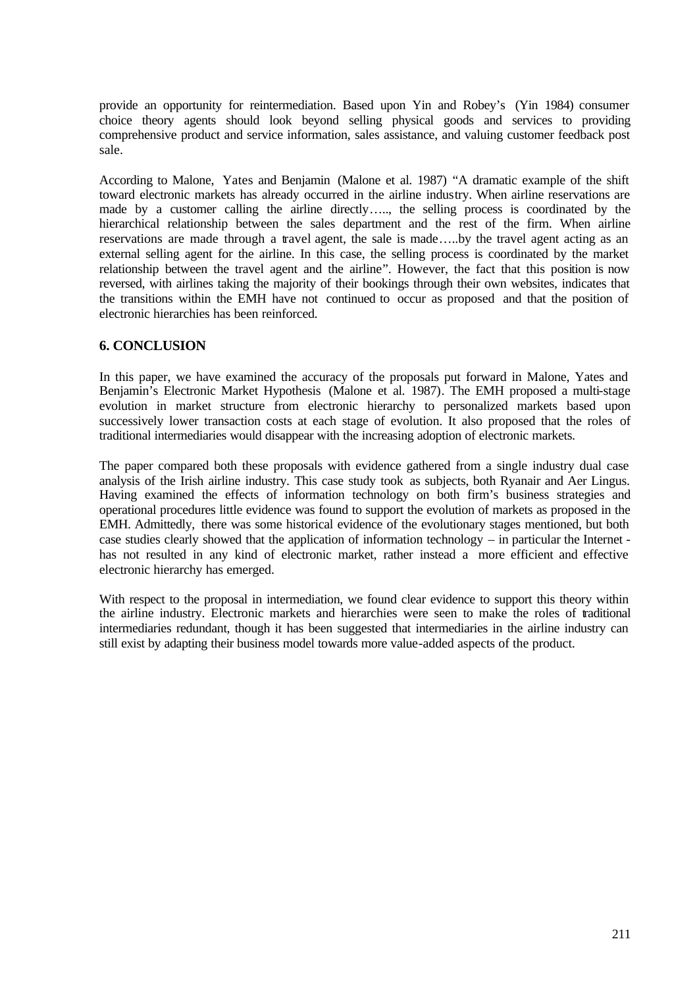provide an opportunity for reintermediation. Based upon Yin and Robey's (Yin 1984) consumer choice theory agents should look beyond selling physical goods and services to providing comprehensive product and service information, sales assistance, and valuing customer feedback post sale.

According to Malone, Yates and Benjamin (Malone et al. 1987) "A dramatic example of the shift toward electronic markets has already occurred in the airline industry. When airline reservations are made by a customer calling the airline directly….., the selling process is coordinated by the hierarchical relationship between the sales department and the rest of the firm. When airline reservations are made through a travel agent, the sale is made…..by the travel agent acting as an external selling agent for the airline. In this case, the selling process is coordinated by the market relationship between the travel agent and the airline". However, the fact that this position is now reversed, with airlines taking the majority of their bookings through their own websites, indicates that the transitions within the EMH have not continued to occur as proposed and that the position of electronic hierarchies has been reinforced.

### **6. CONCLUSION**

In this paper, we have examined the accuracy of the proposals put forward in Malone, Yates and Benjamin's Electronic Market Hypothesis (Malone et al. 1987). The EMH proposed a multi-stage evolution in market structure from electronic hierarchy to personalized markets based upon successively lower transaction costs at each stage of evolution. It also proposed that the roles of traditional intermediaries would disappear with the increasing adoption of electronic markets.

The paper compared both these proposals with evidence gathered from a single industry dual case analysis of the Irish airline industry. This case study took as subjects, both Ryanair and Aer Lingus. Having examined the effects of information technology on both firm's business strategies and operational procedures little evidence was found to support the evolution of markets as proposed in the EMH. Admittedly, there was some historical evidence of the evolutionary stages mentioned, but both case studies clearly showed that the application of information technology – in particular the Internet has not resulted in any kind of electronic market, rather instead a more efficient and effective electronic hierarchy has emerged.

With respect to the proposal in intermediation, we found clear evidence to support this theory within the airline industry. Electronic markets and hierarchies were seen to make the roles of traditional intermediaries redundant, though it has been suggested that intermediaries in the airline industry can still exist by adapting their business model towards more value-added aspects of the product.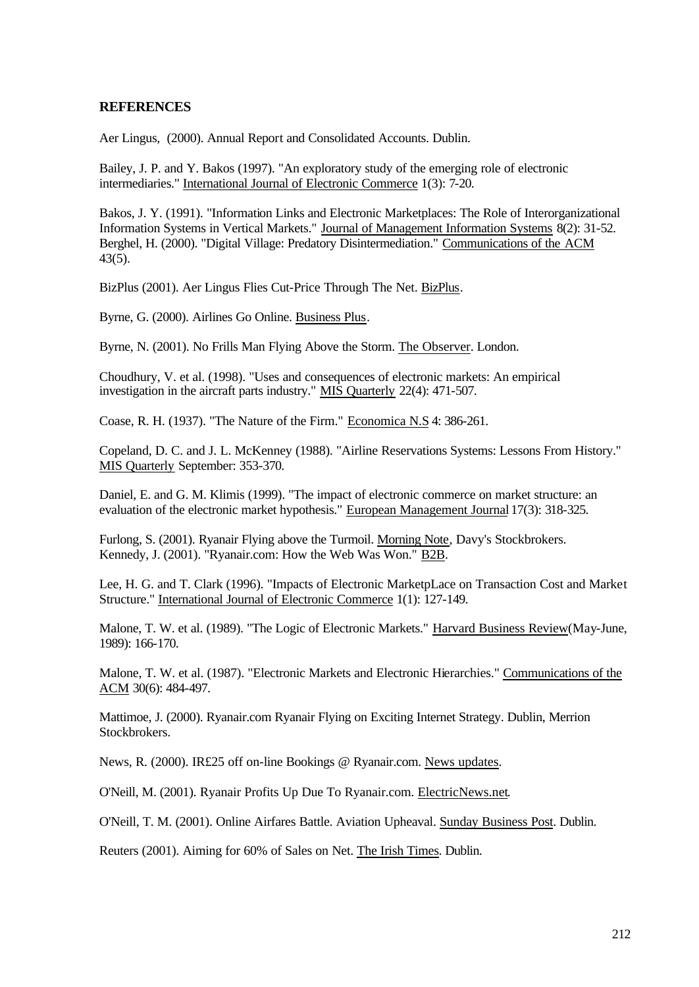#### **REFERENCES**

Aer Lingus, (2000). Annual Report and Consolidated Accounts. Dublin.

Bailey, J. P. and Y. Bakos (1997). "An exploratory study of the emerging role of electronic intermediaries." International Journal of Electronic Commerce 1(3): 7-20.

Bakos, J. Y. (1991). "Information Links and Electronic Marketplaces: The Role of Interorganizational Information Systems in Vertical Markets." Journal of Management Information Systems 8(2): 31-52. Berghel, H. (2000). "Digital Village: Predatory Disintermediation." Communications of the ACM 43(5).

BizPlus (2001). Aer Lingus Flies Cut-Price Through The Net. BizPlus.

Byrne, G. (2000). Airlines Go Online. Business Plus.

Byrne, N. (2001). No Frills Man Flying Above the Storm. The Observer. London.

Choudhury, V. et al. (1998). "Uses and consequences of electronic markets: An empirical investigation in the aircraft parts industry." MIS Quarterly 22(4): 471-507.

Coase, R. H. (1937). "The Nature of the Firm." Economica N.S 4: 386-261.

Copeland, D. C. and J. L. McKenney (1988). "Airline Reservations Systems: Lessons From History." MIS Quarterly September: 353-370.

Daniel, E. and G. M. Klimis (1999). "The impact of electronic commerce on market structure: an evaluation of the electronic market hypothesis." European Management Journal 17(3): 318-325.

Furlong, S. (2001). Ryanair Flying above the Turmoil. Morning Note, Davy's Stockbrokers. Kennedy, J. (2001). "Ryanair.com: How the Web Was Won." B2B.

Lee, H. G. and T. Clark (1996). "Impacts of Electronic MarketpLace on Transaction Cost and Market Structure." International Journal of Electronic Commerce 1(1): 127-149.

Malone, T. W. et al. (1989). "The Logic of Electronic Markets." Harvard Business Review(May-June, 1989): 166-170.

Malone, T. W. et al. (1987). "Electronic Markets and Electronic Hierarchies." Communications of the ACM 30(6): 484-497.

Mattimoe, J. (2000). Ryanair.com Ryanair Flying on Exciting Internet Strategy. Dublin, Merrion Stockbrokers.

News, R. (2000). IR£25 off on-line Bookings @ Ryanair.com. News updates.

O'Neill, M. (2001). Ryanair Profits Up Due To Ryanair.com. ElectricNews.net.

O'Neill, T. M. (2001). Online Airfares Battle. Aviation Upheaval. Sunday Business Post. Dublin.

Reuters (2001). Aiming for 60% of Sales on Net. The Irish Times. Dublin.